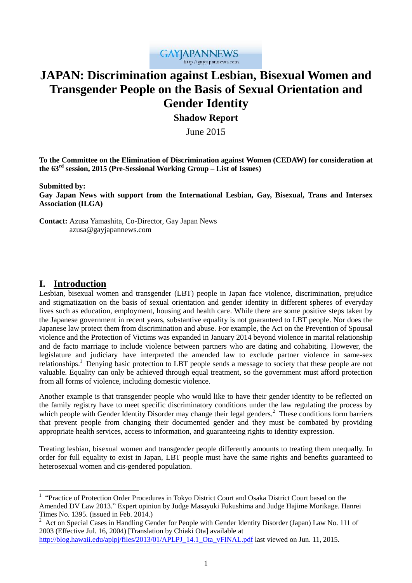

# **JAPAN: Discrimination against Lesbian, Bisexual Women and Transgender People on the Basis of Sexual Orientation and Gender Identity**

# **Shadow Report**

June 2015

**To the Committee on the Elimination of Discrimination against Women (CEDAW) for consideration at the 63rd session, 2015 (Pre-Sessional Working Group – List of Issues)**

**Submitted by:**

**Gay Japan News with support from the International Lesbian, Gay, Bisexual, Trans and Intersex Association (ILGA)**

**Contact:** Azusa Yamashita, Co-Director, Gay Japan News **Contact:** azusa@gayjapannews.com

# **I. Introduction**

 $\overline{a}$ 

Lesbian, bisexual women and transgender (LBT) people in Japan face violence, discrimination, prejudice and stigmatization on the basis of sexual orientation and gender identity in different spheres of everyday lives such as education, employment, housing and health care. While there are some positive steps taken by the Japanese government in recent years, substantive equality is not guaranteed to LBT people. Nor does the Japanese law protect them from discrimination and abuse. For example, the Act on the Prevention of Spousal violence and the Protection of Victims was expanded in January 2014 beyond violence in marital relationship and de facto marriage to include violence between partners who are dating and cohabiting. However, the legislature and judiciary have interpreted the amended law to exclude partner violence in same-sex relationships.<sup>1</sup> Denying basic protection to LBT people sends a message to society that these people are not valuable. Equality can only be achieved through equal treatment, so the government must afford protection from all forms of violence, including domestic violence.

Another example is that transgender people who would like to have their gender identity to be reflected on the family registry have to meet specific discriminatory conditions under the law regulating the process by which people with Gender Identity Disorder may change their legal genders.<sup>2</sup> These conditions form barriers that prevent people from changing their documented gender and they must be combated by providing appropriate health services, access to information, and guaranteeing rights to identity expression.

Treating lesbian, bisexual women and transgender people differently amounts to treating them unequally. In order for full equality to exist in Japan, LBT people must have the same rights and benefits guaranteed to heterosexual women and cis-gendered population.

<sup>&</sup>lt;sup>1</sup> "Practice of Protection Order Procedures in Tokyo District Court and Osaka District Court based on the Amended DV Law 2013." Expert opinion by Judge Masayuki Fukushima and Judge Hajime Morikage. Hanrei Times No. 1395. (issued in Feb. 2014.)

<sup>2</sup> Act on Special Cases in Handling Gender for People with Gender Identity Disorder (Japan) Law No. 111 of 2003 (Effective Jul. 16, 2004) [Translation by Chiaki Ota] available at

[http://blog.hawaii.edu/aplpj/files/2013/01/APLPJ\\_14.1\\_Ota\\_vFINAL.pdf](http://blog.hawaii.edu/aplpj/files/2013/01/APLPJ_14.1_Ota_vFINAL.pdf) last viewed on Jun. 11, 2015.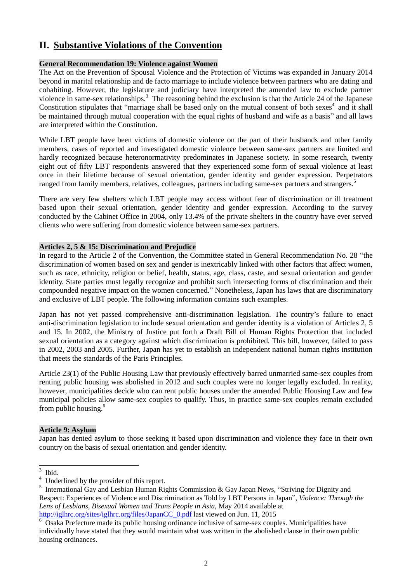# **II. Substantive Violations of the Convention**

## **General Recommendation 19: Violence against Women**

The Act on the Prevention of Spousal Violence and the Protection of Victims was expanded in January 2014 beyond in marital relationship and de facto marriage to include violence between partners who are dating and cohabiting. However, the legislature and judiciary have interpreted the amended law to exclude partner violence in same-sex relationships.<sup>3</sup> The reasoning behind the exclusion is that the Article 24 of the Japanese Constitution stipulates that "marriage shall be based only on the mutual consent of both sexes<sup>4</sup> and it shall be maintained through mutual cooperation with the equal rights of husband and wife as a basis" and all laws are interpreted within the Constitution.

While LBT people have been victims of domestic violence on the part of their husbands and other family members, cases of reported and investigated domestic violence between same-sex partners are limited and hardly recognized because heteronormativity predominates in Japanese society. In some research, twenty eight out of fifty LBT respondents answered that they experienced some form of sexual violence at least once in their lifetime because of sexual orientation, gender identity and gender expression. Perpetrators ranged from family members, relatives, colleagues, partners including same-sex partners and strangers.<sup>5</sup>

There are very few shelters which LBT people may access without fear of discrimination or ill treatment based upon their sexual orientation, gender identity and gender expression. According to the survey conducted by the Cabinet Office in 2004, only 13.4% of the private shelters in the country have ever served clients who were suffering from domestic violence between same-sex partners.

## **Articles 2, 5 & 15: Discrimination and Prejudice**

In regard to the Article 2 of the Convention, the Committee stated in General Recommendation No. 28 "the discrimination of women based on sex and gender is inextricably linked with other factors that affect women, such as race, ethnicity, religion or belief, health, status, age, class, caste, and sexual orientation and gender identity. State parties must legally recognize and prohibit such intersecting forms of discrimination and their compounded negative impact on the women concerned." Nonetheless, Japan has laws that are discriminatory and exclusive of LBT people. The following information contains such examples.

Japan has not yet passed comprehensive anti-discrimination legislation. The country's failure to enact anti-discrimination legislation to include sexual orientation and gender identity is a violation of Articles 2, 5 and 15. In 2002, the Ministry of Justice put forth a Draft Bill of Human Rights Protection that included sexual orientation as a category against which discrimination is prohibited. This bill, however, failed to pass in 2002, 2003 and 2005. Further, Japan has yet to establish an independent national human rights institution that meets the standards of the Paris Principles.

Article 23(1) of the Public Housing Law that previously effectively barred unmarried same-sex couples from renting public housing was abolished in 2012 and such couples were no longer legally excluded. In reality, however, municipalities decide who can rent public houses under the amended Public Housing Law and few municipal policies allow same-sex couples to qualify. Thus, in practice same-sex couples remain excluded from public housing.<sup>6</sup>

## **Article 9: Asylum**

Japan has denied asylum to those seeking it based upon discrimination and violence they face in their own country on the basis of sexual orientation and gender identity.

 $\frac{1}{3}$ Ibid.

<sup>4</sup> Underlined by the provider of this report.

<sup>&</sup>lt;sup>5</sup> International Gay and Lesbian Human Rights Commission & Gay Japan News, "Striving for Dignity and Respect: Experiences of Violence and Discrimination as Told by LBT Persons in Japan", *Violence: Through the Lens of Lesbians, Bisexual Women and Trans People in Asia*, May 2014 available at [http://iglhrc.org/sites/iglhrc.org/files/JapanCC\\_0.pdf](http://iglhrc.org/sites/iglhrc.org/files/JapanCC_0.pdf) last viewed on Jun. 11, 2015

<sup>6</sup> Osaka Prefecture made its public housing ordinance inclusive of same-sex couples. Municipalities have individually have stated that they would maintain what was written in the abolished clause in their own public housing ordinances.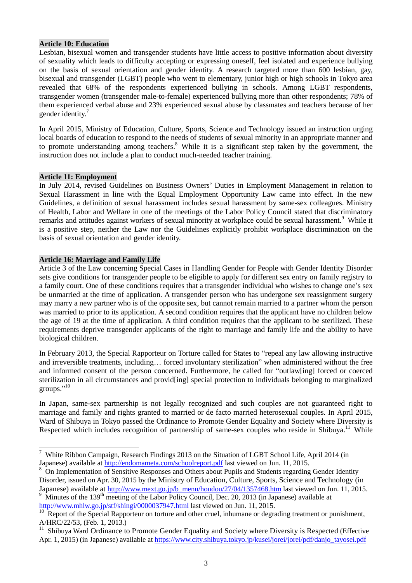#### **Article 10: Education**

Lesbian, bisexual women and transgender students have little access to positive information about diversity of sexuality which leads to difficulty accepting or expressing oneself, feel isolated and experience bullying on the basis of sexual orientation and gender identity. A research targeted more than 600 lesbian, gay, bisexual and transgender (LGBT) people who went to elementary, junior high or high schools in Tokyo area revealed that 68% of the respondents experienced bullying in schools. Among LGBT respondents, transgender women (transgender male-to-female) experienced bullying more than other respondents; 78% of them experienced verbal abuse and 23% experienced sexual abuse by classmates and teachers because of her gender identity. 7

In April 2015, Ministry of Education, Culture, Sports, Science and Technology issued an instruction urging local boards of education to respond to the needs of students of sexual minority in an appropriate manner and to promote understanding among teachers.<sup>8</sup> While it is a significant step taken by the government, the instruction does not include a plan to conduct much-needed teacher training.

#### **Article 11: Employment**

-

In July 2014, revised Guidelines on Business Owners' Duties in Employment Management in relation to Sexual Harassment in line with the Equal Employment Opportunity Law came into effect. In the new Guidelines, a definition of sexual harassment includes sexual harassment by same-sex colleagues. Ministry of Health, Labor and Welfare in one of the meetings of the Labor Policy Council stated that discriminatory remarks and attitudes against workers of sexual minority at workplace could be sexual harassment.<sup>9</sup> While it is a positive step, neither the Law nor the Guidelines explicitly prohibit workplace discrimination on the basis of sexual orientation and gender identity.

#### **Article 16: Marriage and Family Life**

Article 3 of the Law concerning Special Cases in Handling Gender for People with Gender Identity Disorder sets give conditions for transgender people to be eligible to apply for different sex entry on family registry to a family court. One of these conditions requires that a transgender individual who wishes to change one's sex be unmarried at the time of application. A transgender person who has undergone sex reassignment surgery may marry a new partner who is of the opposite sex, but cannot remain married to a partner whom the person was married to prior to its application. A second condition requires that the applicant have no children below the age of 19 at the time of application. A third condition requires that the applicant to be sterilized. These requirements deprive transgender applicants of the right to marriage and family life and the ability to have biological children.

In February 2013, the Special Rapporteur on Torture called for States to "repeal any law allowing instructive and irreversible treatments, including… forced involuntary sterilization" when administered without the free and informed consent of the person concerned. Furthermore, he called for "outlaw[ing] forced or coerced sterilization in all circumstances and provid[ing] special protection to individuals belonging to marginalized groups."<sup>10</sup>

In Japan, same-sex partnership is not legally recognized and such couples are not guaranteed right to marriage and family and rights granted to married or de facto married heterosexual couples. In April 2015, Ward of Shibuya in Tokyo passed the Ordinance to Promote Gender Equality and Society where Diversity is Respected which includes recognition of partnership of same-sex couples who reside in Shibuya.<sup>11</sup> While

<sup>&</sup>lt;sup>7</sup> White Ribbon Campaign, Research Findings 2013 on the Situation of LGBT School Life, April 2014 (in Japanese) available at<http://endomameta.com/schoolreport.pdf> last viewed on Jun. 11, 2015.

On Implementation of Sensitive Responses and Others about Pupils and Students regarding Gender Identity Disorder, issued on Apr. 30, 2015 by the Ministry of Education, Culture, Sports, Science and Technology (in Japanese) available at [http://www.mext.go.jp/b\\_menu/houdou/27/04/1357468.htm](http://www.mext.go.jp/b_menu/houdou/27/04/1357468.htm) last viewed on Jun. 11, 2015.

Minutes of the 139<sup>th</sup> meeting of the Labor Policy Council, Dec. 20, 2013 (in Japanese) available at <http://www.mhlw.go.jp/stf/shingi/0000037947.html> last viewed on Jun. 11, 2015.

Report of the Special Rapporteur on torture and other cruel, inhumane or degrading treatment or punishment, A/HRC/22/53, (Feb. 1, 2013.)

<sup>&</sup>lt;sup>11</sup> Shibuya Ward Ordinance to Promote Gender Equality and Society where Diversity is Respected (Effective Apr. 1, 2015) (in Japanese) available at [https://www.city.shibuya.tokyo.jp/kusei/jorei/jorei/pdf/danjo\\_tayosei.pdf](https://www.city.shibuya.tokyo.jp/kusei/jorei/jorei/pdf/danjo_tayosei.pdf)